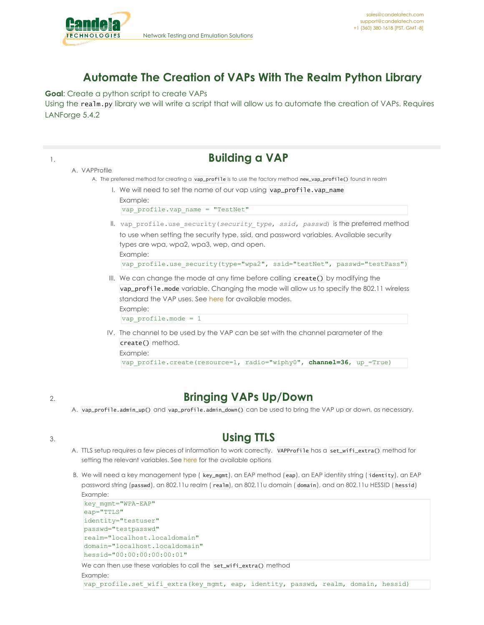

## **Automate The Creation of VAPs With The Realm Python Library**

**Goal**: Create a python script to create VAPs Using the realm.py library we will write a script that will allow us to automate the creation of VAPs. Requires LANForge 5.4.2



## 2. **Bringing VAPs Up/Down**

A. vap\_profile.admin\_up() and vap\_profile.admin\_down() can be used to bring the VAP up or down, as necessary.

## 3. **Using TTLS**

- A. TTLS setup requires a few pieces of information to work correctly. VAPProfile has a set\_wifi\_extra() method for setting the relevant variables. See [here](https://www.candelatech.com/lfcli_ug.php#set_wifi_extra) for the available options
- B. We will need a key management type ( key\_mgmt), an EAP method (eap), an EAP identity string ( identity), an EAP password string (passwd), an 802.11u realm ( realm), an 802.11u domain ( domain), and an 802.11u HESSID ( hessid) Example:

```
key_mgmt="WPA-EAP"
eap="TTLS"
identity="testuser"
passwd="testpasswd"
realm="localhost.localdomain"
domain="localhost.localdomain"
hessid="00:00:00:00:00:01"
```
We can then use these variables to call the set\_wifi\_extra() method

Example:

vap profile.set wifi extra(key mgmt, eap, identity, passwd, realm, domain, hessid)